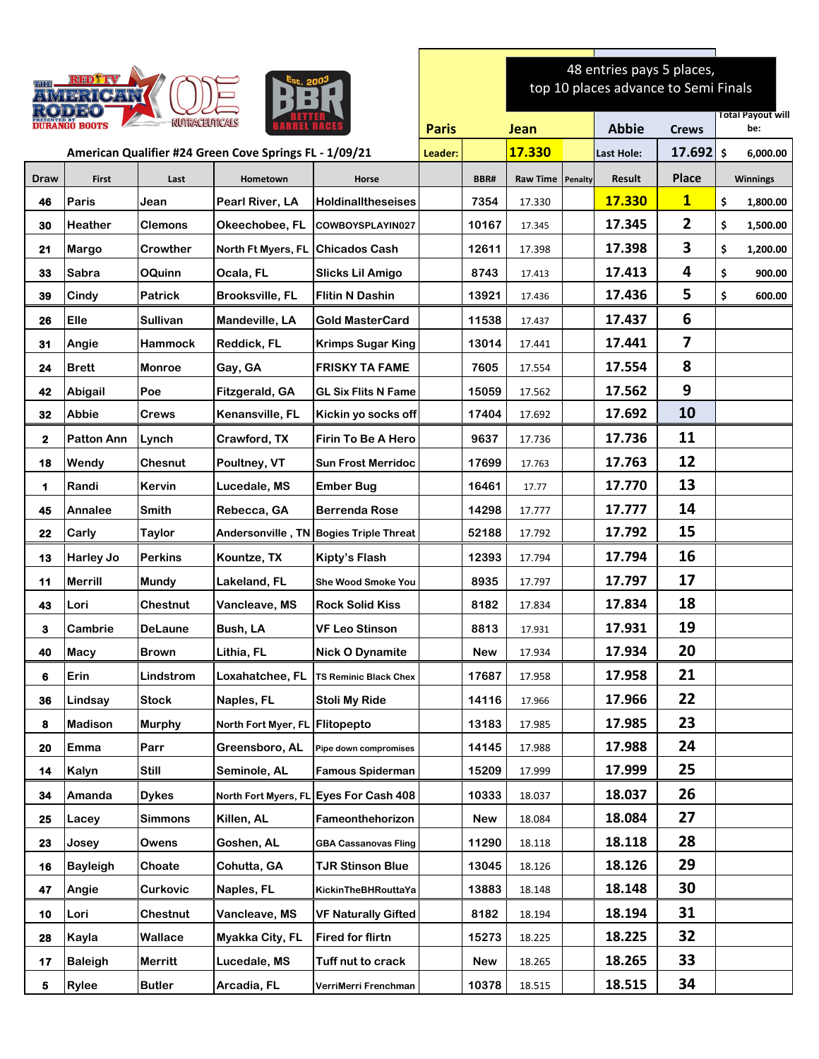| AVAI EIRIKOVAV                                |                   |                                                        |                        | 48 entries pays 5 places,<br>top 10 places advance to Semi Finals |              |            |                 |         |              |                         |                          |
|-----------------------------------------------|-------------------|--------------------------------------------------------|------------------------|-------------------------------------------------------------------|--------------|------------|-----------------|---------|--------------|-------------------------|--------------------------|
| <b>NUTRACEUTICALS</b><br><b>DURANGO BOOTS</b> |                   |                                                        |                        |                                                                   | <b>Paris</b> |            | Jean            |         | <b>Abbie</b> | <b>Crews</b>            | Total Payout will<br>be: |
|                                               |                   | American Qualifier #24 Green Cove Springs FL - 1/09/21 |                        |                                                                   | Leader:      |            | <b>17.330</b>   |         | Last Hole:   | $17.692$ \$             | 6,000.00                 |
| <b>Draw</b>                                   | <b>First</b>      | Last                                                   | Hometown               | Horse                                                             |              | BBR#       | <b>Raw Time</b> | Penalty | Result       | Place                   | <b>Winnings</b>          |
| 46                                            | Paris             | Jean                                                   | Pearl River, LA        | HoldinalItheseises                                                |              | 7354       | 17.330          |         | 17.330       | $\mathbf{1}$            | \$<br>1,800.00           |
| 30                                            | <b>Heather</b>    | <b>Clemons</b>                                         | Okeechobee, FL         | COWBOYSPLAYIN027                                                  |              | 10167      | 17.345          |         | 17.345       | $\mathbf{2}$            | \$<br>1,500.00           |
| 21                                            | Margo             | Crowther                                               | North Ft Myers, FL     | <b>Chicados Cash</b>                                              |              | 12611      | 17.398          |         | 17.398       | 3                       | \$<br>1,200.00           |
| 33                                            | <b>Sabra</b>      | <b>OQuinn</b>                                          | Ocala, FL              | Slicks Lil Amigo                                                  |              | 8743       | 17.413          |         | 17.413       | 4                       | \$<br>900.00             |
| 39                                            | Cindy             | <b>Patrick</b>                                         | <b>Brooksville, FL</b> | <b>Flitin N Dashin</b>                                            |              | 13921      | 17.436          |         | 17.436       | 5                       | \$<br>600.00             |
| 26                                            | Elle              | Sullivan                                               | Mandeville, LA         | Gold MasterCard                                                   |              | 11538      | 17.437          |         | 17.437       | 6                       |                          |
| 31                                            | Angie             | Hammock                                                | Reddick, FL            | <b>Krimps Sugar King</b>                                          |              | 13014      | 17.441          |         | 17.441       | $\overline{\mathbf{z}}$ |                          |
| 24                                            | <b>Brett</b>      | <b>Monroe</b>                                          | Gay, GA                | <b>FRISKY TA FAME</b>                                             |              | 7605       | 17.554          |         | 17.554       | 8                       |                          |
| 42                                            | Abigail           | Poe                                                    | Fitzgerald, GA         | <b>GL Six Flits N Fame</b>                                        |              | 15059      | 17.562          |         | 17.562       | 9                       |                          |
| 32                                            | <b>Abbie</b>      | <b>Crews</b>                                           | Kenansville, FL        | Kickin yo socks off                                               |              | 17404      | 17.692          |         | 17.692       | 10                      |                          |
| 2                                             | <b>Patton Ann</b> | Lynch                                                  | Crawford, TX           | <b>Firin To Be A Hero</b>                                         |              | 9637       | 17.736          |         | 17.736       | 11                      |                          |
| 18                                            | Wendy             | <b>Chesnut</b>                                         | Poultney, VT           | <b>Sun Frost Merridoc</b>                                         |              | 17699      | 17.763          |         | 17.763       | 12                      |                          |
| 1                                             | Randi             | Kervin                                                 | Lucedale, MS           | <b>Ember Bug</b>                                                  |              | 16461      | 17.77           |         | 17.770       | 13                      |                          |
| 45                                            | Annalee           | <b>Smith</b>                                           | Rebecca, GA            | <b>Berrenda Rose</b>                                              |              | 14298      | 17.777          |         | 17.777       | 14                      |                          |
| 22                                            | Carly             | <b>Taylor</b>                                          |                        | Andersonville, TN Bogies Triple Threat                            |              | 52188      | 17.792          |         | 17.792       | 15                      |                          |
| 13                                            | Harley Jo         | <b>Perkins</b>                                         | Kountze, TX            | Kipty's Flash                                                     |              | 12393      | 17.794          |         | 17.794       | 16                      |                          |
| 11                                            | <b>Merrill</b>    | <b>Mundy</b>                                           | Lakeland, FL           | <b>She Wood Smoke You</b>                                         |              | 8935       | 17.797          |         | 17.797       | 17                      |                          |
| 43                                            | Lori              | <b>Chestnut</b>                                        | Vancleave, MS          | <b>Rock Solid Kiss</b>                                            |              | 8182       | 17.834          |         | 17.834       | 18                      |                          |
| 3                                             | Cambrie           | <b>DeLaune</b>                                         | Bush, LA               | <b>VF Leo Stinson</b>                                             |              | 8813       | 17.931          |         | 17.931       | 19                      |                          |
| 40                                            | Macy              | <b>Brown</b>                                           | Lithia, FL             | <b>Nick O Dynamite</b>                                            |              | <b>New</b> | 17.934          |         | 17.934       | 20                      |                          |
| 6                                             | Erin              | Lindstrom                                              | Loxahatchee, FL        | <b>TS Reminic Black Chex</b>                                      |              | 17687      | 17.958          |         | 17.958       | 21                      |                          |
| 36                                            | Lindsay           | <b>Stock</b>                                           | Naples, FL             | <b>Stoli My Ride</b>                                              |              | 14116      | 17.966          |         | 17.966       | 22                      |                          |
| 8                                             | <b>Madison</b>    | <b>Murphy</b>                                          | North Fort Myer, FL    | Flitopepto                                                        |              | 13183      | 17.985          |         | 17.985       | 23                      |                          |
| 20                                            | Emma              | Parr                                                   | Greensboro, AL         | Pipe down compromises                                             |              | 14145      | 17.988          |         | 17.988       | 24                      |                          |
| 14                                            | <b>Kalyn</b>      | Still                                                  | Seminole, AL           | <b>Famous Spiderman</b>                                           |              | 15209      | 17.999          |         | 17.999       | 25                      |                          |
| 34                                            | Amanda            | <b>Dykes</b>                                           |                        | North Fort Myers, FL Eyes For Cash 408                            |              | 10333      | 18.037          |         | 18.037       | 26                      |                          |
| 25                                            | Lacey             | <b>Simmons</b>                                         | Killen, AL             | Fameonthehorizon                                                  |              | <b>New</b> | 18.084          |         | 18.084       | 27                      |                          |
| 23                                            | Josey             | Owens                                                  | Goshen, AL             | <b>GBA Cassanovas Fling</b>                                       |              | 11290      | 18.118          |         | 18.118       | 28                      |                          |
| 16                                            | <b>Bayleigh</b>   | Choate                                                 | Cohutta, GA            | <b>TJR Stinson Blue</b>                                           |              | 13045      | 18.126          |         | 18.126       | 29                      |                          |
| 47                                            | Angie             | Curkovic                                               | Naples, FL             | KickinTheBHRouttaYa                                               |              | 13883      | 18.148          |         | 18.148       | 30                      |                          |
| 10                                            | Lori              | Chestnut                                               | Vancleave, MS          | <b>VF Naturally Gifted</b>                                        |              | 8182       | 18.194          |         | 18.194       | 31                      |                          |
| 28                                            | Kayla             | Wallace                                                | Myakka City, FL        | <b>Fired for flirtn</b>                                           |              | 15273      | 18.225          |         | 18.225       | 32                      |                          |
| 17                                            | <b>Baleigh</b>    | <b>Merritt</b>                                         | Lucedale, MS           | Tuff nut to crack                                                 |              | New        | 18.265          |         | 18.265       | 33                      |                          |
| 5                                             | Rylee             | <b>Butler</b>                                          | Arcadia, FL            | VerriMerri Frenchman                                              |              | 10378      | 18.515          |         | 18.515       | 34                      |                          |

 $\mathcal{L}(\mathcal{L})$  and  $\mathcal{L}(\mathcal{L})$